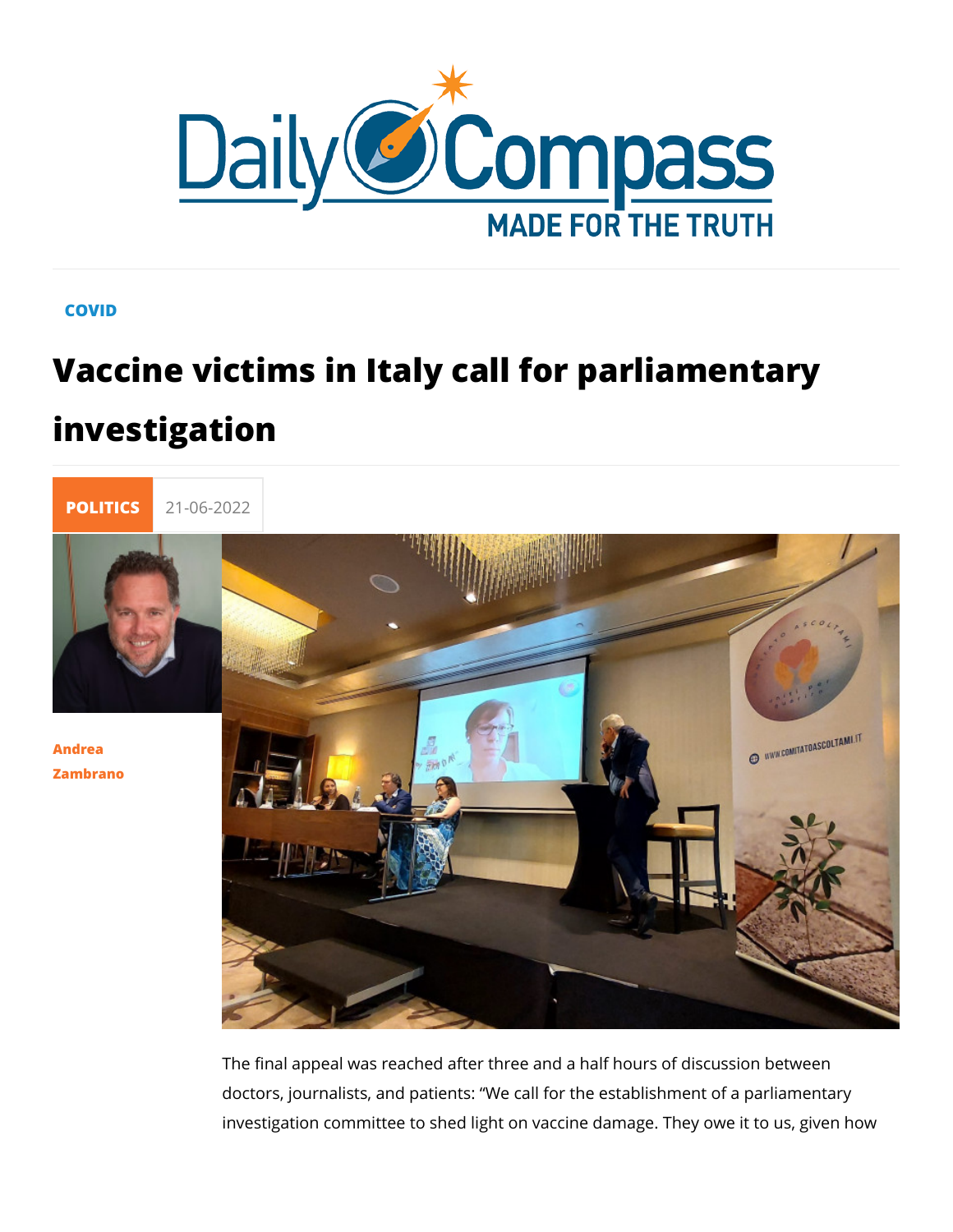## COVID

## Vaccine victims in Italy call for parlial investigation



## [Andre](/en/andrea-zambrano)a [Zambra](/en/andrea-zambrano)no

The final appeal was reached after three and a half hours of d doctors, journalists, and patients: We call for the establishme investigation committee to shed light on vaccine damage. They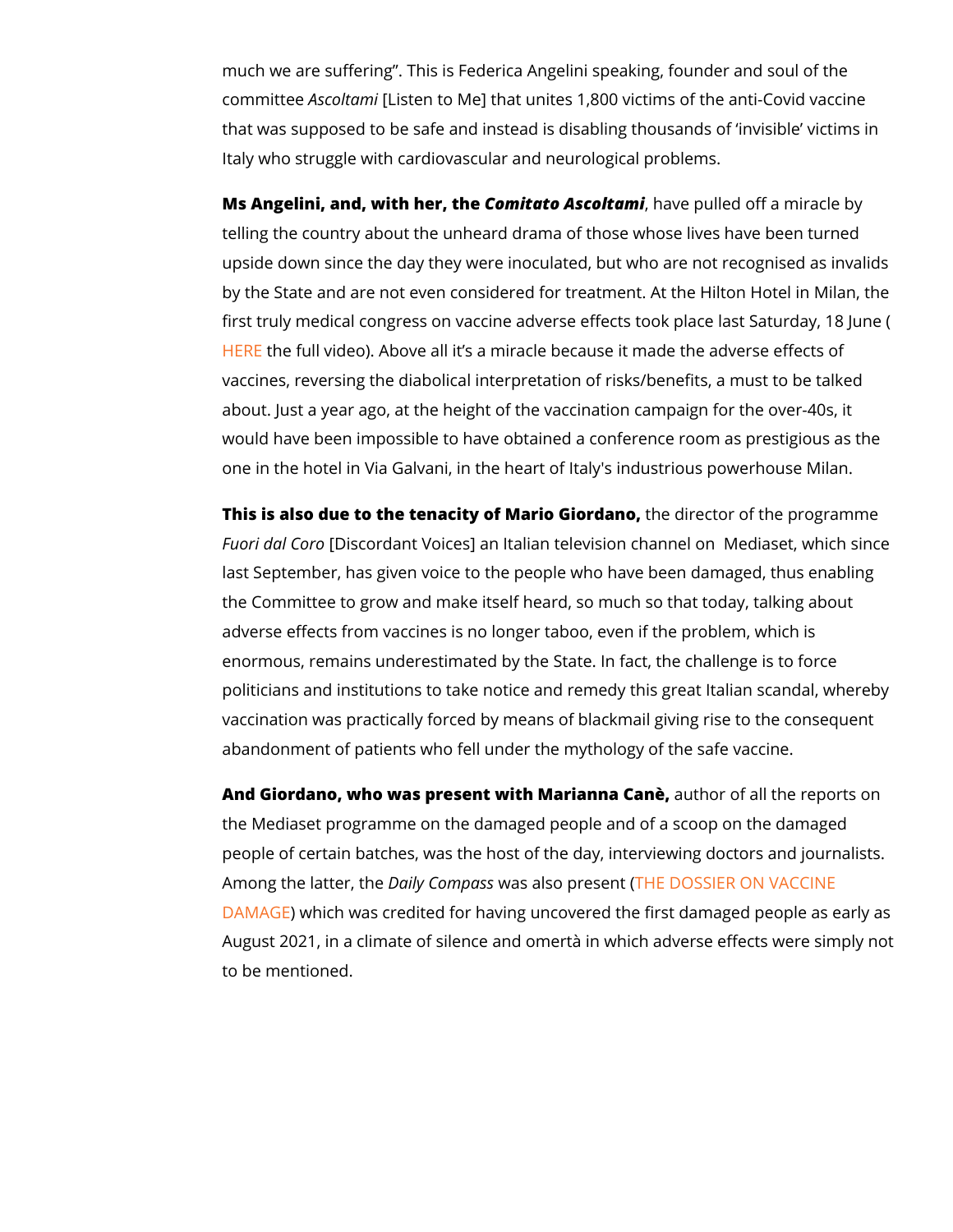much we are suffering. This is Federica Angelini speaking, fo committeAsscolt $\alpha$  [Listen to Me] that unites 1,800 victims of the anti-Covid vaccine  $\alpha$ that was supposed to be safe and instead is disabling thousan Italy who struggle with cardiovascular and neurological proble

Ms Angelini, and, with Choem, it tahteo Asco, I tha anvie pulled off a miracle telling the country about the unheard drama of those whose liv upside down since the day they were inoculated, but who are r by the State and are not even considered for treatment. At the first truly medical congress on vaccine adverse effects took pl [HER](https://www.youtube.com/watch?v=EvHsMI5uN9U)Ehe full video). Above all it s a miracle because it made the vaccines, reversing the diabolical interpretation of risks/beneformery about. Just a year ago, at the height of the vaccination campa would have been impossible to have obtained a conference roo one in the hotel in Via Galvani, in the heart of Italy's industri

This is also due to the tenacity of Mahieo Girecdanoof the program Fuori dal Coiscordant Voices] an Italian television channel on last September, has given voice to the people who have been the Committee to grow and make itself heard, so much so that adverse effects from vaccines is no longer taboo, even if the p enormous, remains underestimated by the State. In fact, the c politicians and institutions to take notice and remedy this great vaccination was practically forced by means of blackmail givin abandonment of patients who fell under the mythology of the s

And Giordano, who was present with Maaudhoa Caale, the report the Mediaset programme on the damaged people and of a scoo people of certain batches, was the host of the day, interviewir Among the latt $\theta$ ailyh $\epsilon$ omwassalso pr $\bar{\epsilon}$ sk $\epsilon$ n $D$   $O$ SSIER ON VACCINE  $DAMA\bigoplus$  $DAMA\bigoplus$  Ewhich was credited for having uncovered the first dama August 2021, in a climate of silence and omertà in which adve to be mentioned.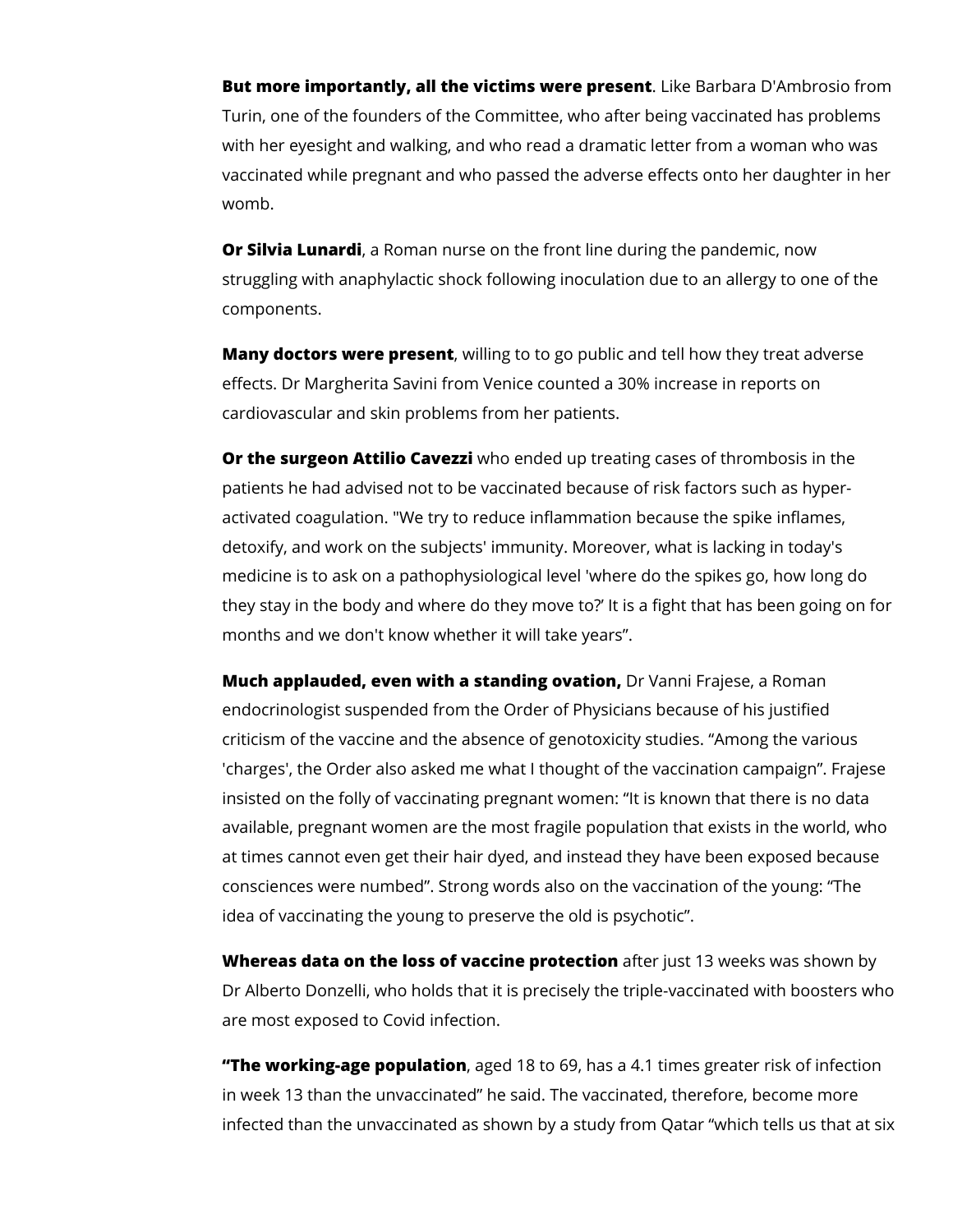**But more importantly, all the victims were present**. Like Barbara D'Ambrosio from Turin, one of the founders of the Committee, who after being vaccinated has problems with her eyesight and walking, and who read a dramatic letter from a woman who was vaccinated while pregnant and who passed the adverse effects onto her daughter in her womb.

**Or Silvia Lunardi**, a Roman nurse on the front line during the pandemic, now struggling with anaphylactic shock following inoculation due to an allergy to one of the components.

**Many doctors were present**, willing to to go public and tell how they treat adverse effects. Dr Margherita Savini from Venice counted a 30% increase in reports on cardiovascular and skin problems from her patients.

**Or the surgeon Attilio Cavezzi** who ended up treating cases of thrombosis in the patients he had advised not to be vaccinated because of risk factors such as hyperactivated coagulation. "We try to reduce inflammation because the spike inflames, detoxify, and work on the subjects' immunity. Moreover, what is lacking in today's medicine is to ask on a pathophysiological level 'where do the spikes go, how long do they stay in the body and where do they move to?' It is a fight that has been going on for months and we don't know whether it will take years".

**Much applauded, even with a standing ovation,** Dr Vanni Frajese, a Roman endocrinologist suspended from the Order of Physicians because of his justified criticism of the vaccine and the absence of genotoxicity studies. "Among the various 'charges', the Order also asked me what I thought of the vaccination campaign". Frajese insisted on the folly of vaccinating pregnant women: "It is known that there is no data available, pregnant women are the most fragile population that exists in the world, who at times cannot even get their hair dyed, and instead they have been exposed because consciences were numbed". Strong words also on the vaccination of the young: "The idea of vaccinating the young to preserve the old is psychotic".

**Whereas data on the loss of vaccine protection** after just 13 weeks was shown by Dr Alberto Donzelli, who holds that it is precisely the triple-vaccinated with boosters who are most exposed to Covid infection.

**"The working-age population**, aged 18 to 69, has a 4.1 times greater risk of infection in week 13 than the unvaccinated" he said. The vaccinated, therefore, become more infected than the unvaccinated as shown by a study from Qatar "which tells us that at six